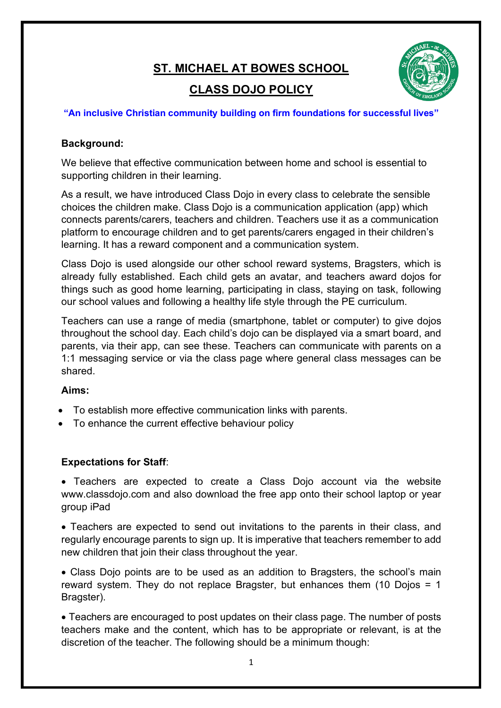# **ST. MICHAEL AT BOWES SCHOOL**



## **CLASS DOJO POLICY**

#### **"An inclusive Christian community building on firm foundations for successful lives"**

### **Background:**

We believe that effective communication between home and school is essential to supporting children in their learning.

As a result, we have introduced Class Dojo in every class to celebrate the sensible choices the children make. Class Dojo is a communication application (app) which connects parents/carers, teachers and children. Teachers use it as a communication platform to encourage children and to get parents/carers engaged in their children's learning. It has a reward component and a communication system.

Class Dojo is used alongside our other school reward systems, Bragsters, which is already fully established. Each child gets an avatar, and teachers award dojos for things such as good home learning, participating in class, staying on task, following our school values and following a healthy life style through the PE curriculum.

Teachers can use a range of media (smartphone, tablet or computer) to give dojos throughout the school day. Each child's dojo can be displayed via a smart board, and parents, via their app, can see these. Teachers can communicate with parents on a 1:1 messaging service or via the class page where general class messages can be shared.

#### **Aims:**

- To establish more effective communication links with parents.
- To enhance the current effective behaviour policy

## **Expectations for Staff**:

• Teachers are expected to create a Class Dojo account via the website www.classdojo.com and also download the free app onto their school laptop or year group iPad

• Teachers are expected to send out invitations to the parents in their class, and regularly encourage parents to sign up. It is imperative that teachers remember to add new children that join their class throughout the year.

• Class Dojo points are to be used as an addition to Bragsters, the school's main reward system. They do not replace Bragster, but enhances them (10 Dojos = 1 Bragster).

• Teachers are encouraged to post updates on their class page. The number of posts teachers make and the content, which has to be appropriate or relevant, is at the discretion of the teacher. The following should be a minimum though: